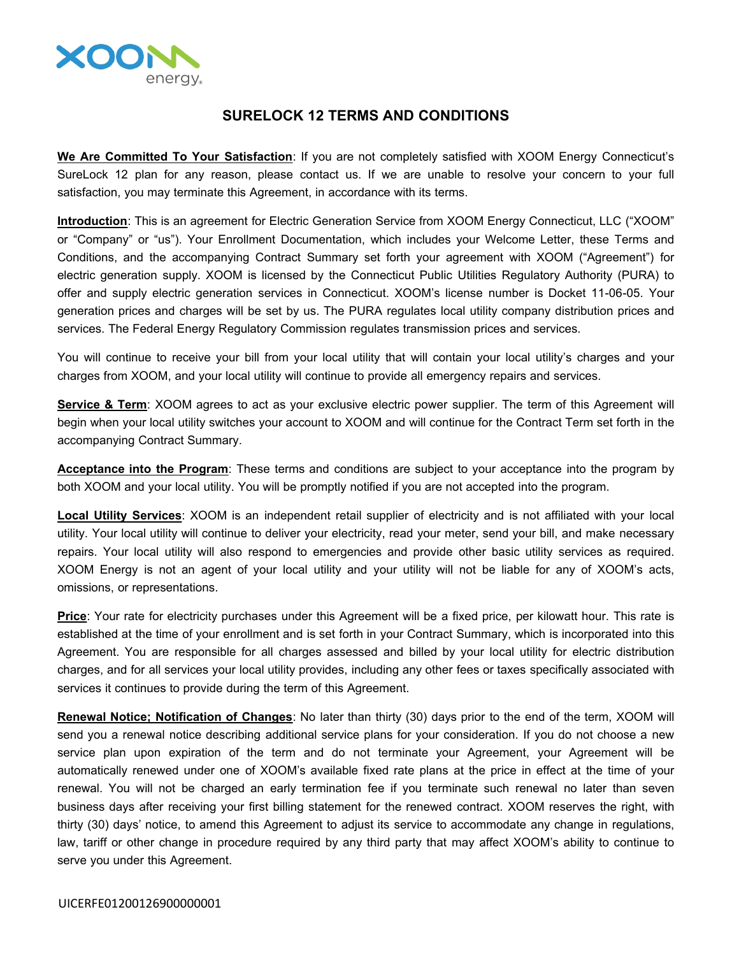

## **SURELOCK 12 TERMS AND CONDITIONS**

**We Are Committed To Your Satisfaction**: If you are not completely satisfied with XOOM Energy Connecticut's SureLock 12 plan for any reason, please contact us. If we are unable to resolve your concern to your full satisfaction, you may terminate this Agreement, in accordance with its terms.

**Introduction**: This is an agreement for Electric Generation Service from XOOM Energy Connecticut, LLC ("XOOM" or "Company" or "us"). Your Enrollment Documentation, which includes your Welcome Letter, these Terms and Conditions, and the accompanying Contract Summary set forth your agreement with XOOM ("Agreement") for electric generation supply. XOOM is licensed by the Connecticut Public Utilities Regulatory Authority (PURA) to offer and supply electric generation services in Connecticut. XOOM's license number is Docket 11-06-05. Your generation prices and charges will be set by us. The PURA regulates local utility company distribution prices and services. The Federal Energy Regulatory Commission regulates transmission prices and services.

You will continue to receive your bill from your local utility that will contain your local utility's charges and your charges from XOOM, and your local utility will continue to provide all emergency repairs and services.

**Service & Term**: XOOM agrees to act as your exclusive electric power supplier. The term of this Agreement will begin when your local utility switches your account to XOOM and will continue for the Contract Term set forth in the accompanying Contract Summary.

**Acceptance into the Program**: These terms and conditions are subject to your acceptance into the program by both XOOM and your local utility. You will be promptly notified if you are not accepted into the program.

**Local Utility Services**: XOOM is an independent retail supplier of electricity and is not affiliated with your local utility. Your local utility will continue to deliver your electricity, read your meter, send your bill, and make necessary repairs. Your local utility will also respond to emergencies and provide other basic utility services as required. XOOM Energy is not an agent of your local utility and your utility will not be liable for any of XOOM's acts, omissions, or representations.

**Price**: Your rate for electricity purchases under this Agreement will be a fixed price, per kilowatt hour. This rate is established at the time of your enrollment and is set forth in your Contract Summary, which is incorporated into this Agreement. You are responsible for all charges assessed and billed by your local utility for electric distribution charges, and for all services your local utility provides, including any other fees or taxes specifically associated with services it continues to provide during the term of this Agreement.

**Renewal Notice; Notification of Changes**: No later than thirty (30) days prior to the end of the term, XOOM will send you a renewal notice describing additional service plans for your consideration. If you do not choose a new service plan upon expiration of the term and do not terminate your Agreement, your Agreement will be automatically renewed under one of XOOM's available fixed rate plans at the price in effect at the time of your renewal. You will not be charged an early termination fee if you terminate such renewal no later than seven business days after receiving your first billing statement for the renewed contract. XOOM reserves the right, with thirty (30) days' notice, to amend this Agreement to adjust its service to accommodate any change in regulations, law, tariff or other change in procedure required by any third party that may affect XOOM's ability to continue to serve you under this Agreement.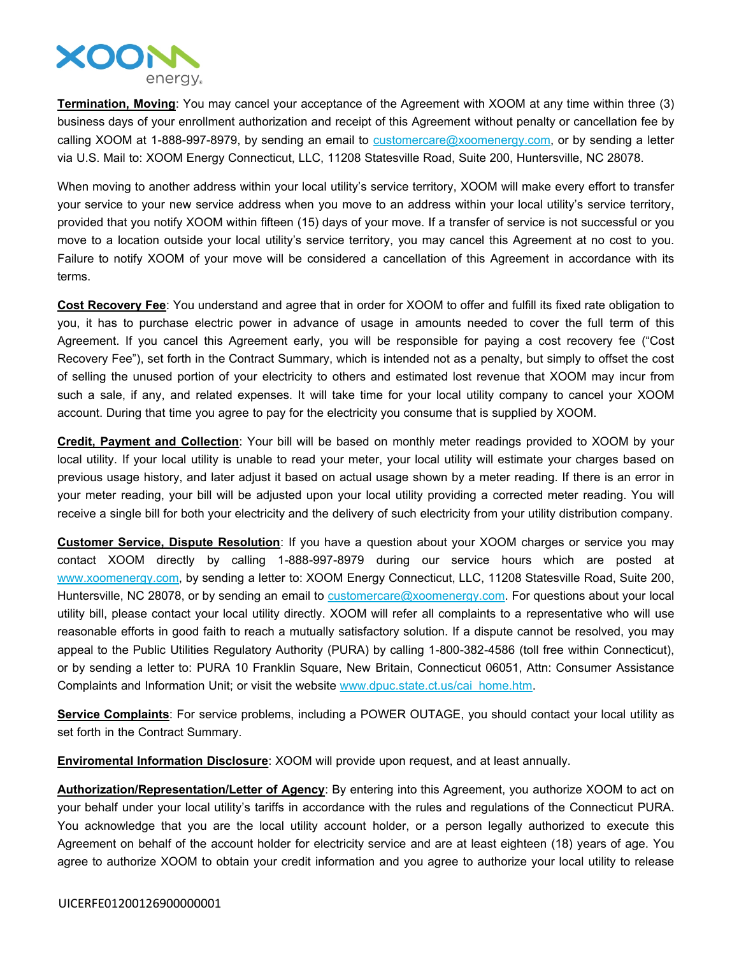

**Termination, Moving**: You may cancel your acceptance of the Agreement with XOOM at any time within three (3) business days of your enrollment authorization and receipt of this Agreement without penalty or cancellation fee by calling XOOM at 1-888-997-8979, by sending an email to  $\frac{customer}{c}$  customercare  $@x$  oomenergy.com, or by sending a letter via U.S. Mail to: XOOM Energy Connecticut, LLC, 11208 Statesville Road, Suite 200, Huntersville, NC 28078.

When moving to another address within your local utility's service territory, XOOM will make every effort to transfer your service to your new service address when you move to an address within your local utility's service territory, provided that you notify XOOM within fifteen (15) days of your move. If a transfer of service is not successful or you move to a location outside your local utility's service territory, you may cancel this Agreement at no cost to you. Failure to notify XOOM of your move will be considered a cancellation of this Agreement in accordance with its terms.

**Cost Recovery Fee**: You understand and agree that in order for XOOM to offer and fulfill its fixed rate obligation to you, it has to purchase electric power in advance of usage in amounts needed to cover the full term of this Agreement. If you cancel this Agreement early, you will be responsible for paying a cost recovery fee ("Cost Recovery Fee"), set forth in the Contract Summary, which is intended not as a penalty, but simply to offset the cost of selling the unused portion of your electricity to others and estimated lost revenue that XOOM may incur from such a sale, if any, and related expenses. It will take time for your local utility company to cancel your XOOM account. During that time you agree to pay for the electricity you consume that is supplied by XOOM.

**Credit, Payment and Collection**: Your bill will be based on monthly meter readings provided to XOOM by your local utility. If your local utility is unable to read your meter, your local utility will estimate your charges based on previous usage history, and later adjust it based on actual usage shown by a meter reading. If there is an error in your meter reading, your bill will be adjusted upon your local utility providing a corrected meter reading. You will receive a single bill for both your electricity and the delivery of such electricity from your utility distribution company.

**Customer Service, Dispute Resolution**: If you have a question about your XOOM charges or service you may contact XOOM directly by calling 1-888-997-8979 during our service hours which are posted at [www.xoomenergy.com](http://www.xoomenergy.com), by sending a letter to: XOOM Energy Connecticut, LLC, 11208 Statesville Road, Suite 200, Huntersville, NC 28078, or by sending an email to [customercare@xoomenergy.com.](mailto:customercare@xoomenergy.com) For questions about your local utility bill, please contact your local utility directly. XOOM will refer all complaints to a representative who will use reasonable efforts in good faith to reach a mutually satisfactory solution. If a dispute cannot be resolved, you may appeal to the Public Utilities Regulatory Authority (PURA) by calling 1-800-382-4586 (toll free within Connecticut), or by sending a letter to: PURA 10 Franklin Square, New Britain, Connecticut 06051, Attn: Consumer Assistance Complaints and Information Unit; or visit the website [www.dpuc.state.ct.us/cai\\_home.htm](http://www.dpuc.state.ct.us/cai_home.htm).

**Service Complaints**: For service problems, including a POWER OUTAGE, you should contact your local utility as set forth in the Contract Summary.

**Enviromental Information Disclosure**: XOOM will provide upon request, and at least annually.

**Authorization/Representation/Letter of Agency**: By entering into this Agreement, you authorize XOOM to act on your behalf under your local utility's tariffs in accordance with the rules and regulations of the Connecticut PURA. You acknowledge that you are the local utility account holder, or a person legally authorized to execute this Agreement on behalf of the account holder for electricity service and are at least eighteen (18) years of age. You agree to authorize XOOM to obtain your credit information and you agree to authorize your local utility to release